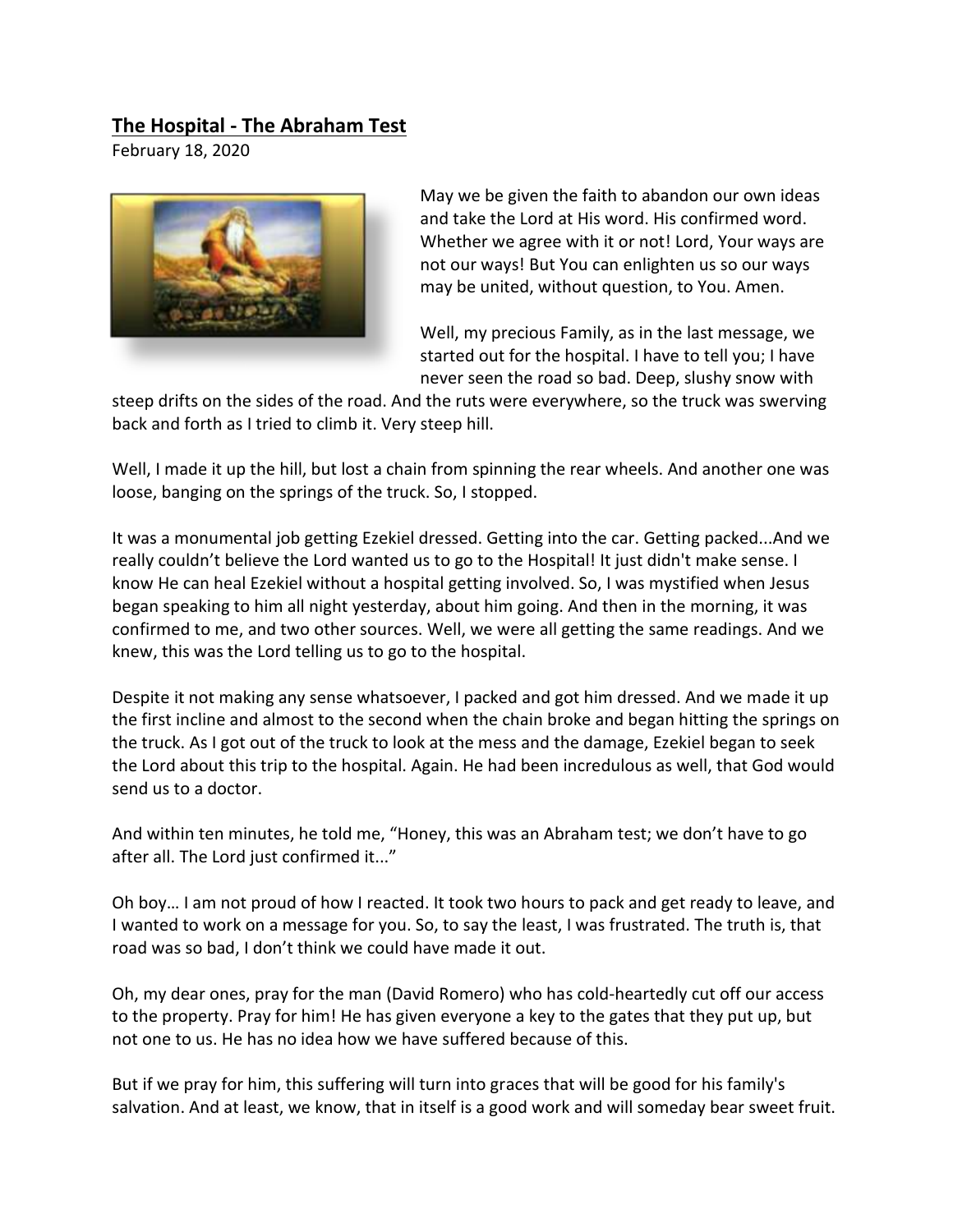## **The Hospital - The Abraham Test**

February 18, 2020



May we be given the faith to abandon our own ideas and take the Lord at His word. His confirmed word. Whether we agree with it or not! Lord, Your ways are not our ways! But You can enlighten us so our ways may be united, without question, to You. Amen.

Well, my precious Family, as in the last message, we started out for the hospital. I have to tell you; I have never seen the road so bad. Deep, slushy snow with

steep drifts on the sides of the road. And the ruts were everywhere, so the truck was swerving back and forth as I tried to climb it. Very steep hill.

Well, I made it up the hill, but lost a chain from spinning the rear wheels. And another one was loose, banging on the springs of the truck. So, I stopped.

It was a monumental job getting Ezekiel dressed. Getting into the car. Getting packed...And we really couldn't believe the Lord wanted us to go to the Hospital! It just didn't make sense. I know He can heal Ezekiel without a hospital getting involved. So, I was mystified when Jesus began speaking to him all night yesterday, about him going. And then in the morning, it was confirmed to me, and two other sources. Well, we were all getting the same readings. And we knew, this was the Lord telling us to go to the hospital.

Despite it not making any sense whatsoever, I packed and got him dressed. And we made it up the first incline and almost to the second when the chain broke and began hitting the springs on the truck. As I got out of the truck to look at the mess and the damage, Ezekiel began to seek the Lord about this trip to the hospital. Again. He had been incredulous as well, that God would send us to a doctor.

And within ten minutes, he told me, "Honey, this was an Abraham test; we don't have to go after all. The Lord just confirmed it..."

Oh boy… I am not proud of how I reacted. It took two hours to pack and get ready to leave, and I wanted to work on a message for you. So, to say the least, I was frustrated. The truth is, that road was so bad, I don't think we could have made it out.

Oh, my dear ones, pray for the man (David Romero) who has cold-heartedly cut off our access to the property. Pray for him! He has given everyone a key to the gates that they put up, but not one to us. He has no idea how we have suffered because of this.

But if we pray for him, this suffering will turn into graces that will be good for his family's salvation. And at least, we know, that in itself is a good work and will someday bear sweet fruit.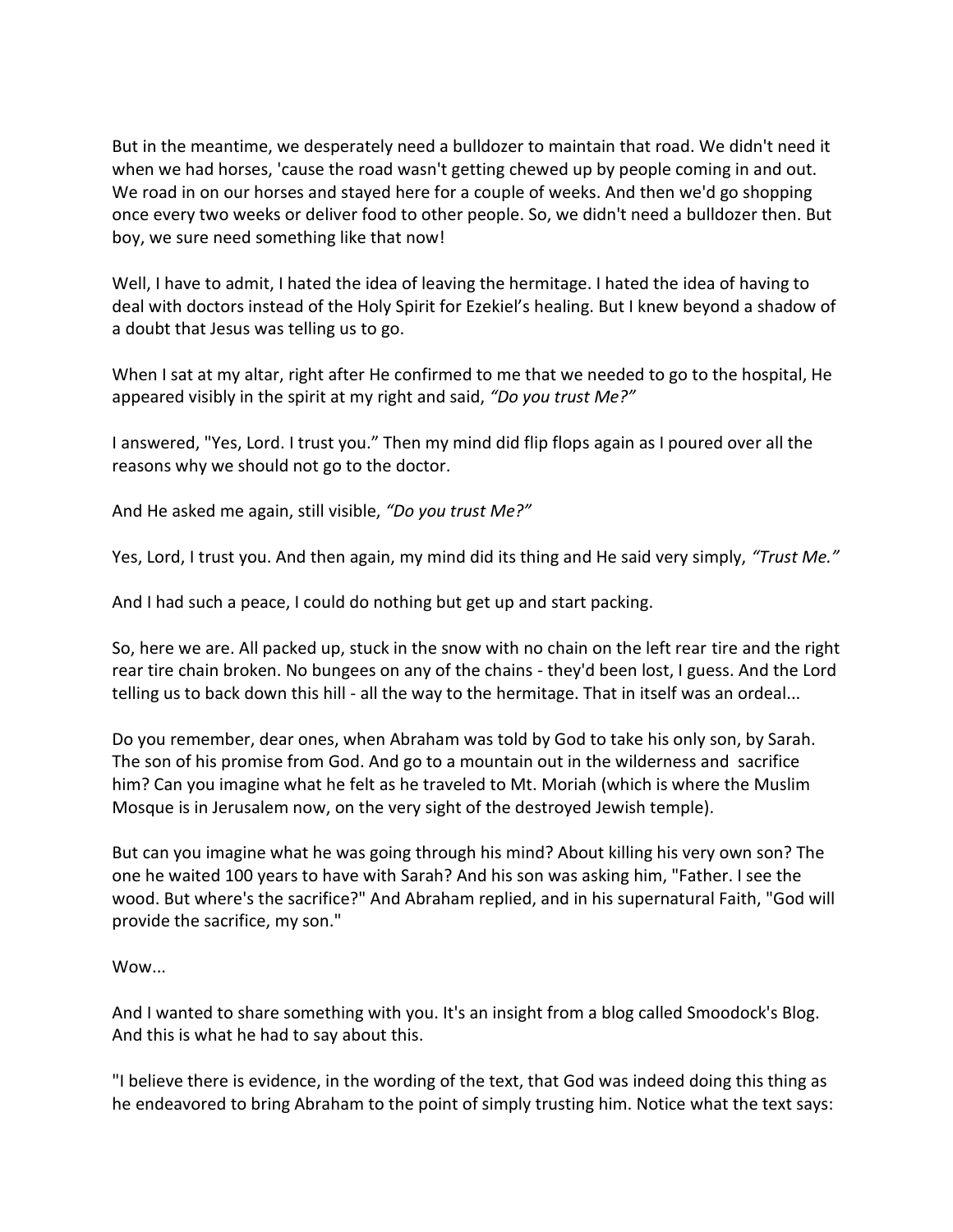But in the meantime, we desperately need a bulldozer to maintain that road. We didn't need it when we had horses, 'cause the road wasn't getting chewed up by people coming in and out. We road in on our horses and stayed here for a couple of weeks. And then we'd go shopping once every two weeks or deliver food to other people. So, we didn't need a bulldozer then. But boy, we sure need something like that now!

Well, I have to admit, I hated the idea of leaving the hermitage. I hated the idea of having to deal with doctors instead of the Holy Spirit for Ezekiel's healing. But I knew beyond a shadow of a doubt that Jesus was telling us to go.

When I sat at my altar, right after He confirmed to me that we needed to go to the hospital, He appeared visibly in the spirit at my right and said, *"Do you trust Me?"* 

I answered, "Yes, Lord. I trust you." Then my mind did flip flops again as I poured over all the reasons why we should not go to the doctor.

And He asked me again, still visible, *"Do you trust Me?"*

Yes, Lord, I trust you. And then again, my mind did its thing and He said very simply, *"Trust Me."* 

And I had such a peace, I could do nothing but get up and start packing.

So, here we are. All packed up, stuck in the snow with no chain on the left rear tire and the right rear tire chain broken. No bungees on any of the chains - they'd been lost, I guess. And the Lord telling us to back down this hill - all the way to the hermitage. That in itself was an ordeal...

Do you remember, dear ones, when Abraham was told by God to take his only son, by Sarah. The son of his promise from God. And go to a mountain out in the wilderness and sacrifice him? Can you imagine what he felt as he traveled to Mt. Moriah (which is where the Muslim Mosque is in Jerusalem now, on the very sight of the destroyed Jewish temple).

But can you imagine what he was going through his mind? About killing his very own son? The one he waited 100 years to have with Sarah? And his son was asking him, "Father. I see the wood. But where's the sacrifice?" And Abraham replied, and in his supernatural Faith, "God will provide the sacrifice, my son."

## Wow...

And I wanted to share something with you. It's an insight from a blog called Smoodock's Blog. And this is what he had to say about this.

"I believe there is evidence, in the wording of the text, that God was indeed doing this thing as he endeavored to bring Abraham to the point of simply trusting him. Notice what the text says: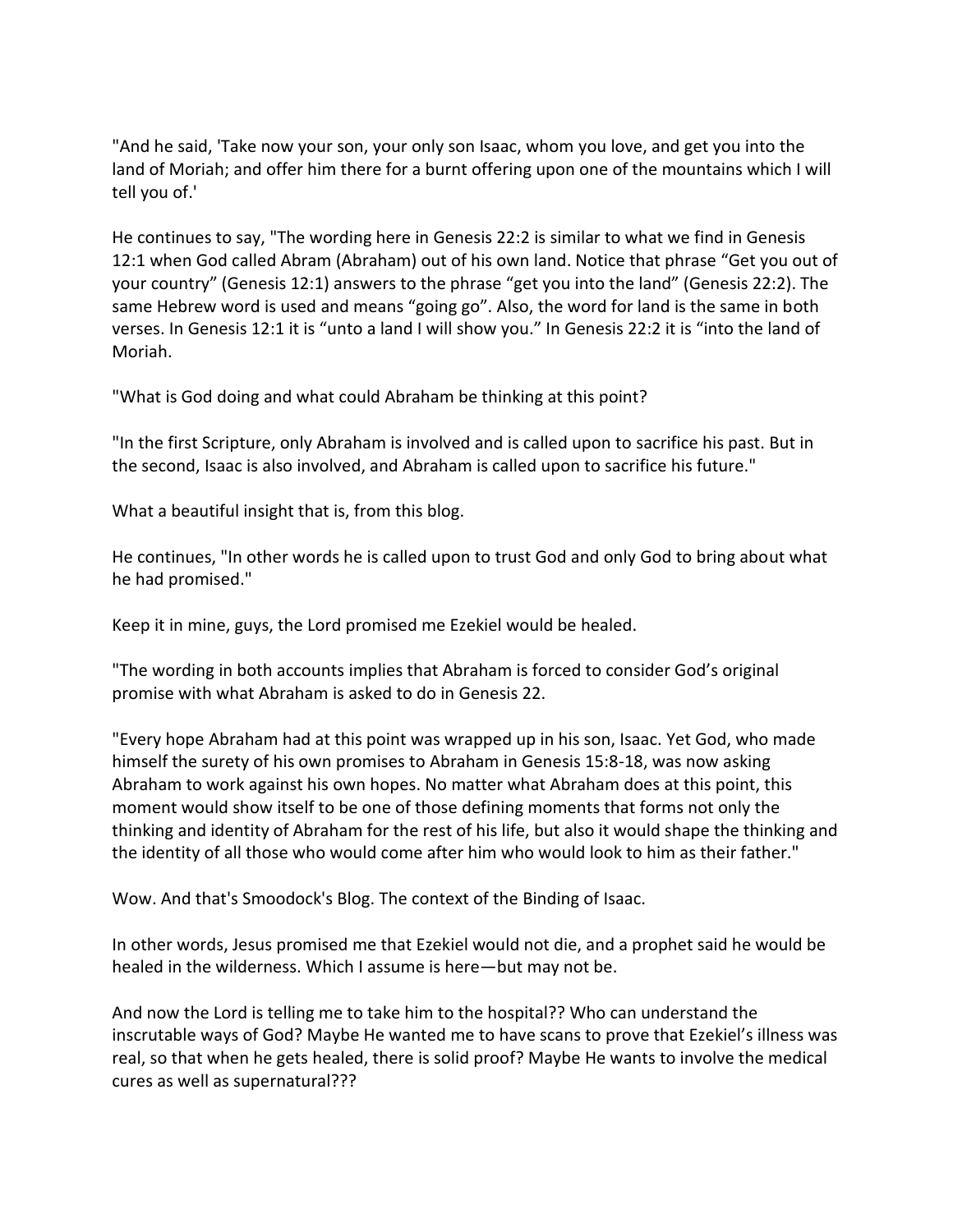"And he said, 'Take now your son, your only son Isaac, whom you love, and get you into the land of Moriah; and offer him there for a burnt offering upon one of the mountains which I will tell you of.'

He continues to say, "The wording here in Genesis 22:2 is similar to what we find in Genesis 12:1 when God called Abram (Abraham) out of his own land. Notice that phrase "Get you out of your country" (Genesis 12:1) answers to the phrase "get you into the land" (Genesis 22:2). The same Hebrew word is used and means "going go". Also, the word for land is the same in both verses. In Genesis 12:1 it is "unto a land I will show you." In Genesis 22:2 it is "into the land of Moriah.

"What is God doing and what could Abraham be thinking at this point?

"In the first Scripture, only Abraham is involved and is called upon to sacrifice his past. But in the second, Isaac is also involved, and Abraham is called upon to sacrifice his future."

What a beautiful insight that is, from this blog.

He continues, "In other words he is called upon to trust God and only God to bring about what he had promised."

Keep it in mine, guys, the Lord promised me Ezekiel would be healed.

"The wording in both accounts implies that Abraham is forced to consider God's original promise with what Abraham is asked to do in Genesis 22.

"Every hope Abraham had at this point was wrapped up in his son, Isaac. Yet God, who made himself the surety of his own promises to Abraham in Genesis 15:8-18, was now asking Abraham to work against his own hopes. No matter what Abraham does at this point, this moment would show itself to be one of those defining moments that forms not only the thinking and identity of Abraham for the rest of his life, but also it would shape the thinking and the identity of all those who would come after him who would look to him as their father."

Wow. And that's Smoodock's Blog. The context of the Binding of Isaac.

In other words, Jesus promised me that Ezekiel would not die, and a prophet said he would be healed in the wilderness. Which I assume is here—but may not be.

And now the Lord is telling me to take him to the hospital?? Who can understand the inscrutable ways of God? Maybe He wanted me to have scans to prove that Ezekiel's illness was real, so that when he gets healed, there is solid proof? Maybe He wants to involve the medical cures as well as supernatural???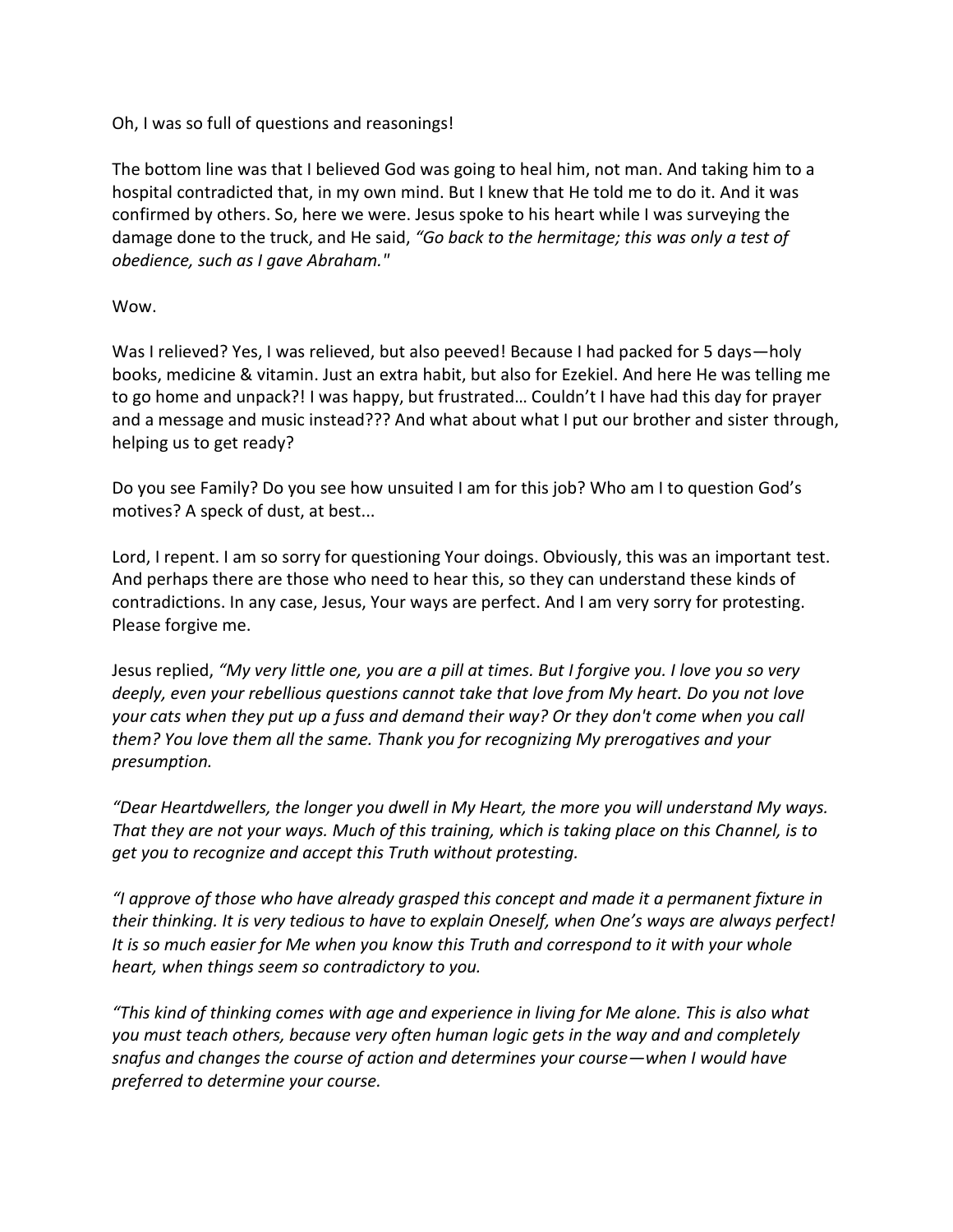## Oh, I was so full of questions and reasonings!

The bottom line was that I believed God was going to heal him, not man. And taking him to a hospital contradicted that, in my own mind. But I knew that He told me to do it. And it was confirmed by others. So, here we were. Jesus spoke to his heart while I was surveying the damage done to the truck, and He said, *"Go back to the hermitage; this was only a test of obedience, such as I gave Abraham."*

## Wow.

Was I relieved? Yes, I was relieved, but also peeved! Because I had packed for 5 days—holy books, medicine & vitamin. Just an extra habit, but also for Ezekiel. And here He was telling me to go home and unpack?! I was happy, but frustrated… Couldn't I have had this day for prayer and a message and music instead??? And what about what I put our brother and sister through, helping us to get ready?

Do you see Family? Do you see how unsuited I am for this job? Who am I to question God's motives? A speck of dust, at best...

Lord, I repent. I am so sorry for questioning Your doings. Obviously, this was an important test. And perhaps there are those who need to hear this, so they can understand these kinds of contradictions. In any case, Jesus, Your ways are perfect. And I am very sorry for protesting. Please forgive me.

Jesus replied, *"My very little one, you are a pill at times. But I forgive you. I love you so very deeply, even your rebellious questions cannot take that love from My heart. Do you not love your cats when they put up a fuss and demand their way? Or they don't come when you call them? You love them all the same. Thank you for recognizing My prerogatives and your presumption.* 

*"Dear Heartdwellers, the longer you dwell in My Heart, the more you will understand My ways. That they are not your ways. Much of this training, which is taking place on this Channel, is to get you to recognize and accept this Truth without protesting.* 

*"I approve of those who have already grasped this concept and made it a permanent fixture in their thinking. It is very tedious to have to explain Oneself, when One's ways are always perfect! It is so much easier for Me when you know this Truth and correspond to it with your whole heart, when things seem so contradictory to you.*

*"This kind of thinking comes with age and experience in living for Me alone. This is also what you must teach others, because very often human logic gets in the way and and completely snafus and changes the course of action and determines your course—when I would have preferred to determine your course.*